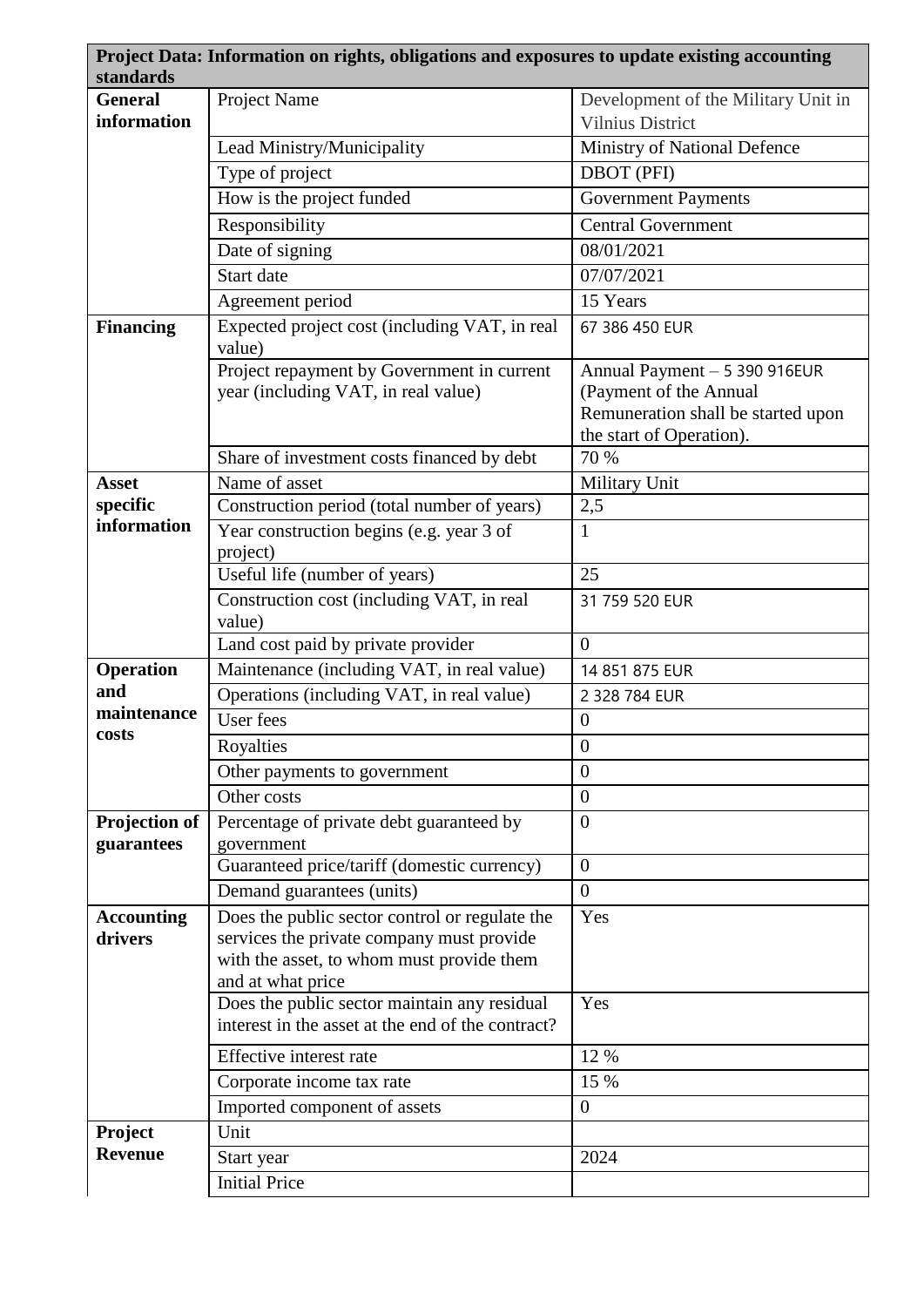| standards         | Project Data: Information on rights, obligations and exposures to update existing accounting |                                                              |
|-------------------|----------------------------------------------------------------------------------------------|--------------------------------------------------------------|
| <b>General</b>    | Project Name                                                                                 | Development of the Military Unit in                          |
| information       |                                                                                              | <b>Vilnius District</b>                                      |
|                   | Lead Ministry/Municipality                                                                   | Ministry of National Defence                                 |
|                   | Type of project                                                                              | <b>DBOT</b> (PFI)                                            |
|                   | How is the project funded                                                                    | <b>Government Payments</b>                                   |
|                   | Responsibility                                                                               | <b>Central Government</b>                                    |
|                   | Date of signing                                                                              | 08/01/2021                                                   |
|                   | Start date                                                                                   | 07/07/2021                                                   |
|                   | Agreement period                                                                             | 15 Years                                                     |
| <b>Financing</b>  | Expected project cost (including VAT, in real                                                | 67 386 450 EUR                                               |
|                   | value)                                                                                       |                                                              |
|                   | Project repayment by Government in current                                                   | Annual Payment - 5 390 916EUR                                |
|                   | year (including VAT, in real value)                                                          | (Payment of the Annual<br>Remuneration shall be started upon |
|                   |                                                                                              | the start of Operation).                                     |
|                   | Share of investment costs financed by debt                                                   | 70 %                                                         |
| <b>Asset</b>      | Name of asset                                                                                | Military Unit                                                |
| specific          | Construction period (total number of years)                                                  | 2,5                                                          |
| information       | Year construction begins (e.g. year 3 of                                                     | $\mathbf{1}$                                                 |
|                   | project)                                                                                     |                                                              |
|                   | Useful life (number of years)                                                                | 25                                                           |
|                   | Construction cost (including VAT, in real<br>value)                                          | 31 759 520 EUR                                               |
|                   | Land cost paid by private provider                                                           | $\overline{0}$                                               |
| <b>Operation</b>  | Maintenance (including VAT, in real value)                                                   | 14 851 875 EUR                                               |
| and               | Operations (including VAT, in real value)                                                    | 2 328 784 EUR                                                |
| maintenance       | User fees                                                                                    | $\boldsymbol{0}$                                             |
| costs             | Royalties                                                                                    | $\boldsymbol{0}$                                             |
|                   | Other payments to government                                                                 | $\theta$                                                     |
|                   | Other costs                                                                                  | $\overline{0}$                                               |
| Projection of     | Percentage of private debt guaranteed by                                                     | $\theta$                                                     |
| guarantees        | government                                                                                   |                                                              |
|                   | Guaranteed price/tariff (domestic currency)                                                  | $\overline{0}$                                               |
|                   | Demand guarantees (units)                                                                    | $\Omega$                                                     |
| <b>Accounting</b> | Does the public sector control or regulate the                                               | Yes                                                          |
| drivers           | services the private company must provide                                                    |                                                              |
|                   | with the asset, to whom must provide them<br>and at what price                               |                                                              |
|                   | Does the public sector maintain any residual                                                 | Yes                                                          |
|                   | interest in the asset at the end of the contract?                                            |                                                              |
|                   | Effective interest rate                                                                      | 12 %                                                         |
|                   | Corporate income tax rate                                                                    | 15 %                                                         |
|                   | Imported component of assets                                                                 | $\overline{0}$                                               |
| Project           | Unit                                                                                         |                                                              |
| <b>Revenue</b>    | Start year                                                                                   | 2024                                                         |
|                   | <b>Initial Price</b>                                                                         |                                                              |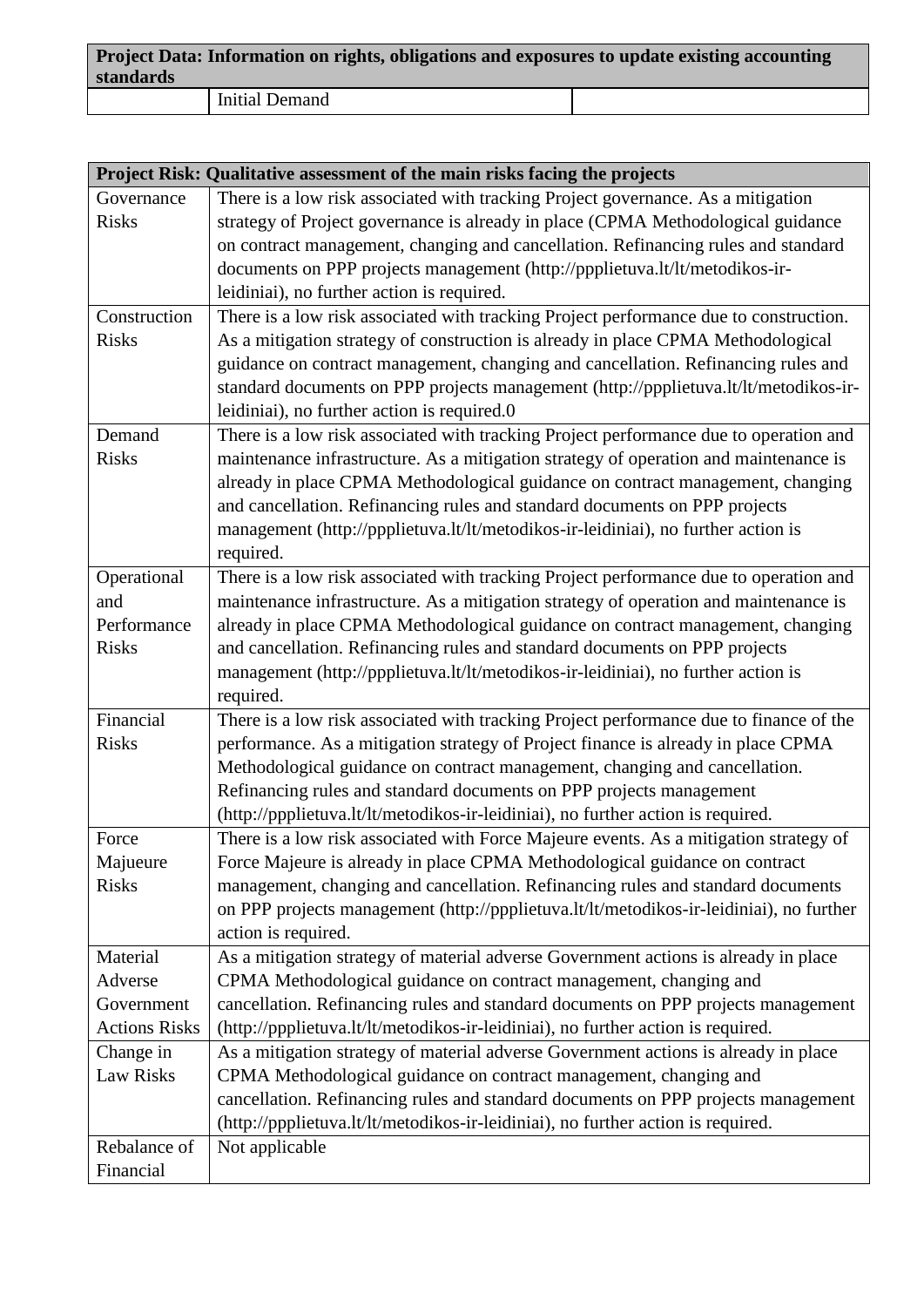| standards | Project Data: Information on rights, obligations and exposures to update existing accounting |  |  |  |
|-----------|----------------------------------------------------------------------------------------------|--|--|--|
|           | <b>Initial Demand</b>                                                                        |  |  |  |

| Project Risk: Qualitative assessment of the main risks facing the projects |                                                                                         |  |
|----------------------------------------------------------------------------|-----------------------------------------------------------------------------------------|--|
| Governance                                                                 | There is a low risk associated with tracking Project governance. As a mitigation        |  |
| <b>Risks</b>                                                               | strategy of Project governance is already in place (CPMA Methodological guidance        |  |
|                                                                            | on contract management, changing and cancellation. Refinancing rules and standard       |  |
|                                                                            | documents on PPP projects management (http://ppplietuva.lt/lt/metodikos-ir-             |  |
|                                                                            | leidiniai), no further action is required.                                              |  |
| Construction                                                               | There is a low risk associated with tracking Project performance due to construction.   |  |
| <b>Risks</b>                                                               | As a mitigation strategy of construction is already in place CPMA Methodological        |  |
|                                                                            | guidance on contract management, changing and cancellation. Refinancing rules and       |  |
|                                                                            | standard documents on PPP projects management (http://ppplietuva.lt/lt/metodikos-ir-    |  |
|                                                                            | leidiniai), no further action is required.0                                             |  |
| Demand                                                                     | There is a low risk associated with tracking Project performance due to operation and   |  |
| <b>Risks</b>                                                               | maintenance infrastructure. As a mitigation strategy of operation and maintenance is    |  |
|                                                                            | already in place CPMA Methodological guidance on contract management, changing          |  |
|                                                                            | and cancellation. Refinancing rules and standard documents on PPP projects              |  |
|                                                                            | management (http://ppplietuva.lt/lt/metodikos-ir-leidiniai), no further action is       |  |
|                                                                            | required.                                                                               |  |
| Operational                                                                | There is a low risk associated with tracking Project performance due to operation and   |  |
| and                                                                        | maintenance infrastructure. As a mitigation strategy of operation and maintenance is    |  |
| Performance                                                                | already in place CPMA Methodological guidance on contract management, changing          |  |
| <b>Risks</b>                                                               | and cancellation. Refinancing rules and standard documents on PPP projects              |  |
|                                                                            | management (http://ppplietuva.lt/lt/metodikos-ir-leidiniai), no further action is       |  |
|                                                                            | required.                                                                               |  |
| Financial                                                                  | There is a low risk associated with tracking Project performance due to finance of the  |  |
| <b>Risks</b>                                                               | performance. As a mitigation strategy of Project finance is already in place CPMA       |  |
|                                                                            | Methodological guidance on contract management, changing and cancellation.              |  |
|                                                                            | Refinancing rules and standard documents on PPP projects management                     |  |
|                                                                            | (http://ppplietuva.lt/lt/metodikos-ir-leidiniai), no further action is required.        |  |
| Force                                                                      | There is a low risk associated with Force Majeure events. As a mitigation strategy of   |  |
| Majueure                                                                   | Force Majeure is already in place CPMA Methodological guidance on contract              |  |
| <b>Risks</b>                                                               | management, changing and cancellation. Refinancing rules and standard documents         |  |
|                                                                            | on PPP projects management (http://ppplietuva.lt/lt/metodikos-ir-leidiniai), no further |  |
|                                                                            | action is required.                                                                     |  |
| Material                                                                   | As a mitigation strategy of material adverse Government actions is already in place     |  |
| Adverse                                                                    | CPMA Methodological guidance on contract management, changing and                       |  |
| Government                                                                 | cancellation. Refinancing rules and standard documents on PPP projects management       |  |
| <b>Actions Risks</b>                                                       | (http://ppplietuva.lt/lt/metodikos-ir-leidiniai), no further action is required.        |  |
| Change in                                                                  | As a mitigation strategy of material adverse Government actions is already in place     |  |
| Law Risks                                                                  | CPMA Methodological guidance on contract management, changing and                       |  |
|                                                                            | cancellation. Refinancing rules and standard documents on PPP projects management       |  |
|                                                                            | (http://ppplietuva.lt/lt/metodikos-ir-leidiniai), no further action is required.        |  |
| Rebalance of                                                               | Not applicable                                                                          |  |
| Financial                                                                  |                                                                                         |  |